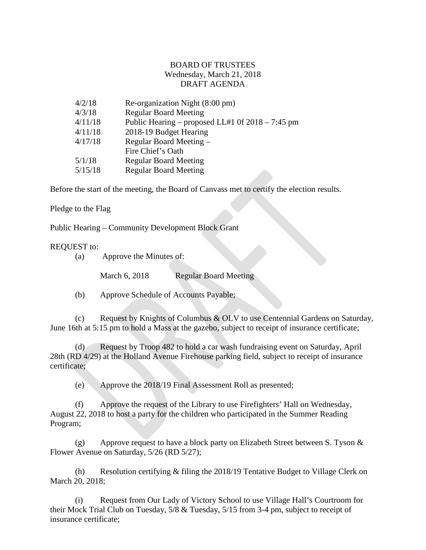## BOARD OF TRUSTEES Wednesday, March 21, 2018 DRAFT AGENDA

| 4/2/18  | Re-organization Night (8:00 pm)                    |
|---------|----------------------------------------------------|
| 4/3/18  | <b>Regular Board Meeting</b>                       |
| 4/11/18 | Public Hearing – proposed LL#1 0f $2018 - 7:45$ pm |
| 4/11/18 | 2018-19 Budget Hearing                             |
| 4/17/18 | Regular Board Meeting -                            |
|         | Fire Chief's Oath                                  |
| 5/1/18  | <b>Regular Board Meeting</b>                       |
| 5/15/18 | <b>Regular Board Meeting</b>                       |
|         |                                                    |

Before the start of the meeting, the Board of Canvass met to certify the election results.

Pledge to the Flag

Public Hearing – Community Development Block Grant

## REQUEST to:

(a) Approve the Minutes of:

March 6, 2018 Regular Board Meeting

(b) Approve Schedule of Accounts Payable;

(c) Request by Knights of Columbus & OLV to use Centennial Gardens on Saturday, June 16th at 5:15 pm to hold a Mass at the gazebo, subject to receipt of insurance certificate;

(d) Request by Troop 482 to hold a car wash fundraising event on Saturday, April 28th (RD 4/29) at the Holland Avenue Firehouse parking field, subject to receipt of insurance certificate;

(e) Approve the 2018/19 Final Assessment Roll as presented;

(f) Approve the request of the Library to use Firefighters' Hall on Wednesday, August 22, 2018 to host a party for the children who participated in the Summer Reading Program;

(g) Approve request to have a block party on Elizabeth Street between S. Tyson & Flower Avenue on Saturday, 5/26 (RD 5/27);

(h) Resolution certifying & filing the 2018/19 Tentative Budget to Village Clerk on March 20, 2018;

(i) Request from Our Lady of Victory School to use Village Hall's Courtroom for their Mock Trial Club on Tuesday, 5/8 & Tuesday, 5/15 from 3-4 pm, subject to receipt of insurance certificate;